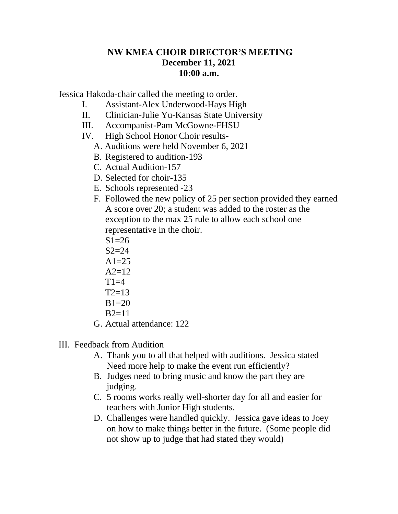## **NW KMEA CHOIR DIRECTOR'S MEETING December 11, 2021 10:00 a.m.**

Jessica Hakoda-chair called the meeting to order.

- I. Assistant-Alex Underwood-Hays High
- II. Clinician-Julie Yu-Kansas State University
- III. Accompanist-Pam McGowne-FHSU
- IV. High School Honor Choir results-
	- A. Auditions were held November 6, 2021
	- B. Registered to audition-193
	- C. Actual Audition-157
	- D. Selected for choir-135
	- E. Schools represented -23
	- F. Followed the new policy of 25 per section provided they earned A score over 20; a student was added to the roster as the exception to the max 25 rule to allow each school one representative in the choir.
		- $S1=26$
		- $S2=24$
		- $A1=25$
		- $A2=12$
		- $T1=4$  $T2=13$
		- $B1=20$
		- $B2=11$
	- G. Actual attendance: 122
- III. Feedback from Audition
	- A. Thank you to all that helped with auditions. Jessica stated Need more help to make the event run efficiently?
	- B. Judges need to bring music and know the part they are judging.
	- C. 5 rooms works really well-shorter day for all and easier for teachers with Junior High students.
	- D. Challenges were handled quickly. Jessica gave ideas to Joey on how to make things better in the future. (Some people did not show up to judge that had stated they would)